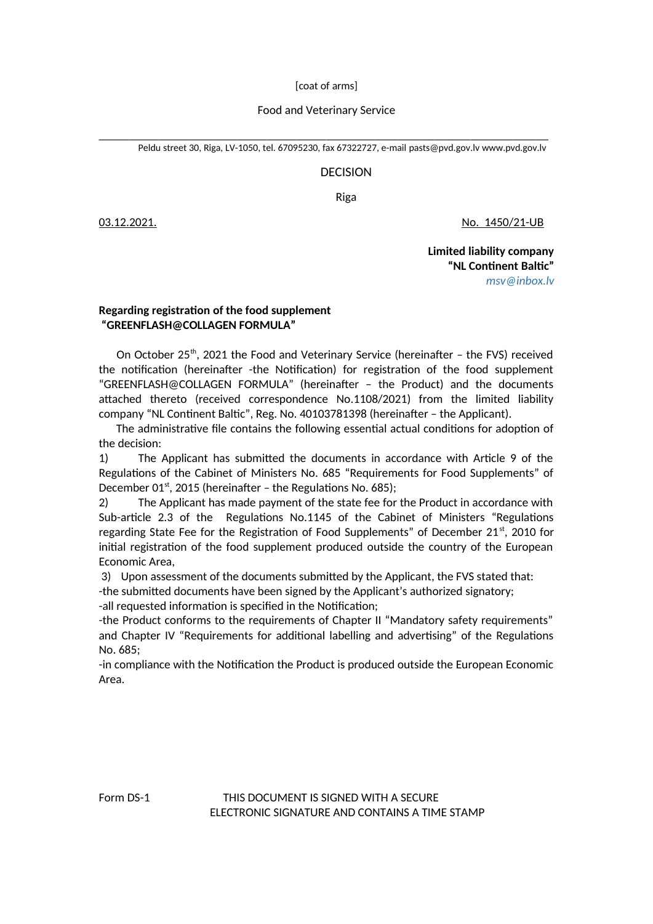[coat of arms]

## Food and Veterinary Service

\_\_\_\_\_\_\_\_\_\_\_\_\_\_\_\_\_\_\_\_\_\_\_\_\_\_\_\_\_\_\_\_\_\_\_\_\_\_\_\_\_\_\_\_\_\_\_\_\_\_\_\_\_\_\_\_\_\_\_\_\_\_\_\_\_\_\_\_\_\_\_\_\_\_\_ Peldu street 30, Riga, LV-1050, tel. 67095230, fax 67322727, e-mail [pasts@pvd.gov](mailto:pasts@pvd.gov).lv [www.pvd.gov.lv](http://www.pvd.gov.lv/)

## DECISION

Riga

03.12.2021. No. 1450/21-UB

 **Limited liability company "NL Continent Baltic"** *[msv@inbox.lv](mailto:msv@inbox.lv)*

## **Regarding registration of the food supplement "GREENFLASH@COLLAGEN FORMULA"**

On October 25<sup>th</sup>, 2021 the Food and Veterinary Service (hereinafter - the FVS) received the notification (hereinafter -the Notification) for registration of the food supplement "GREENFLASH@COLLAGEN FORMULA" (hereinafter – the Product) and the documents attached thereto (received correspondence No.1108/2021) from the limited liability company "NL Continent Baltic", Reg. No. 40103781398 (hereinafter – the Applicant).

 The administrative file contains the following essential actual conditions for adoption of the decision:

1) The Applicant has submitted the documents in accordance with Article 9 of the Regulations of the Cabinet of Ministers No. 685 "Requirements for Food Supplements" of December 01<sup>st</sup>, 2015 (hereinafter – the Regulations No. 685);

2) The Applicant has made payment of the state fee for the Product in accordance with Sub-article 2.3 of the Regulations No.1145 of the Cabinet of Ministers "Regulations regarding State Fee for the Registration of Food Supplements" of December  $21<sup>st</sup>$ , 2010 for initial registration of the food supplement produced outside the country of the European Economic Area,

3) Upon assessment of the documents submitted by the Applicant, the FVS stated that:

-the submitted documents have been signed by the Applicant's authorized signatory;

-all requested information is specified in the Notification;

-the Product conforms to the requirements of Chapter II "Mandatory safety requirements" and Chapter IV "Requirements for additional labelling and advertising" of the Regulations No. 685;

-in compliance with the Notification the Product is produced outside the European Economic Area.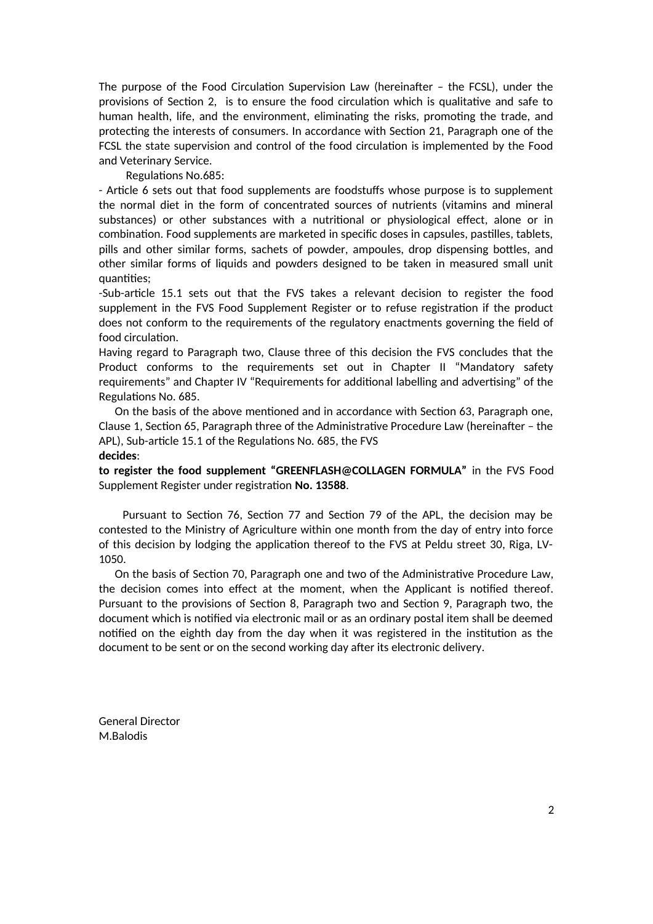The purpose of the Food Circulation Supervision Law (hereinafter – the FCSL), under the provisions of Section 2, is to ensure the food circulation which is qualitative and safe to human health, life, and the environment, eliminating the risks, promoting the trade, and protecting the interests of consumers. In accordance with Section 21, Paragraph one of the FCSL the state supervision and control of the food circulation is implemented by the Food and Veterinary Service.

Regulations No.685:

- Article 6 sets out that food supplements are foodstuffs whose purpose is to supplement the normal diet in the form of concentrated sources of nutrients (vitamins and mineral substances) or other substances with a nutritional or physiological effect, alone or in combination. Food supplements are marketed in specific doses in capsules, pastilles, tablets, pills and other similar forms, sachets of powder, ampoules, drop dispensing bottles, and other similar forms of liquids and powders designed to be taken in measured small unit quantities;

-Sub-article 15.1 sets out that the FVS takes a relevant decision to register the food supplement in the FVS Food Supplement Register or to refuse registration if the product does not conform to the requirements of the regulatory enactments governing the field of food circulation.

Having regard to Paragraph two, Clause three of this decision the FVS concludes that the Product conforms to the requirements set out in Chapter II "Mandatory safety requirements" and Chapter IV "Requirements for additional labelling and advertising" of the Regulations No. 685.

 On the basis of the above mentioned and in accordance with Section 63, Paragraph one, Clause 1, Section 65, Paragraph three of the Administrative Procedure Law (hereinafter – the APL), Sub-article 15.1 of the Regulations No. 685, the FVS **decides**:

**to register the food supplement "GREENFLASH@COLLAGEN FORMULA"** in the FVS Food Supplement Register under registration **No. 13588**.

 Pursuant to Section 76, Section 77 and Section 79 of the APL, the decision may be contested to the Ministry of Agriculture within one month from the day of entry into force of this decision by lodging the application thereof to the FVS at Peldu street 30, Riga, LV-1050.

 On the basis of Section 70, Paragraph one and two of the Administrative Procedure Law, the decision comes into effect at the moment, when the Applicant is notified thereof. Pursuant to the provisions of Section 8, Paragraph two and Section 9, Paragraph two, the document which is notified via electronic mail or as an ordinary postal item shall be deemed notified on the eighth day from the day when it was registered in the institution as the document to be sent or on the second working day after its electronic delivery.

General Director M.Balodis